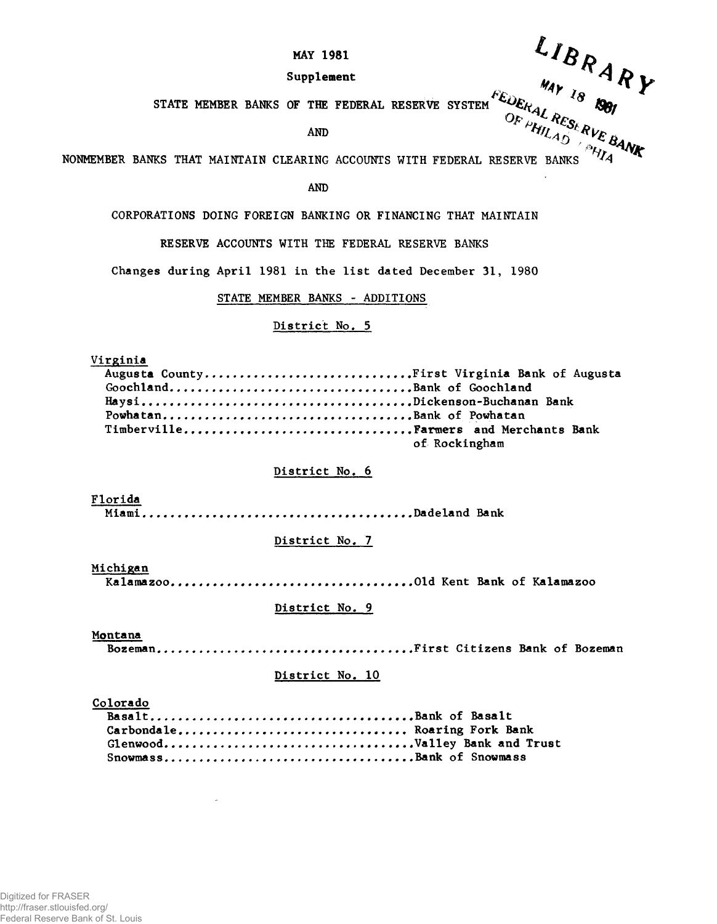# MAY 1981

# Supplement

AND

STATE MEMBER BANKS OF THE FEDERAL RESERVE SYSTEM  $\frac{Q_{E_{H_{H_{\ell A_{L}}}}} Q_{E_{S_{L}}}}{Q_{F}}$  *f HII*<sub>*AD*</sub> *s WE B*<br>AND  $L$ *I BRARY*<br>
MAY 18 1801 NONMEMBER BANKS THAT MAINTAIN CLEARING ACCOUNTS WITH FEDERAL RESERVE BANKS

AND

CORPORATIONS DOING FOREIGN BANKING OR FINANCING THAT MAINTAIN

RESERVE ACCOUNTS WITH THE FEDERAL RESERVE BANKS

Changes during April 1981 in the list dated December 31, 1980

## STATE MEMBER BANKS - ADDITIONS

# District No. 5

**Virginia** 

|                          | Augusta CountyFirst Virginia Bank of Augusta |
|--------------------------|----------------------------------------------|
|                          |                                              |
|                          |                                              |
| PowhatanBank of Powhatan |                                              |
|                          |                                              |
|                          | of Rockingham                                |

## District No. 6

Florida

Miami Dadeland Bank

# District No. 7

Michigan

Kalam azoo Old Kent Bank o f Kalamazoo

#### District No. 9

#### Montana

Bozeman F ir s t C it iz e n s Bank o f Bozeman

## District No. 10

#### Colorado

| Carbondale Roaring Fork Bank |  |
|------------------------------|--|
|                              |  |
| SnowmassBank of Snowmass     |  |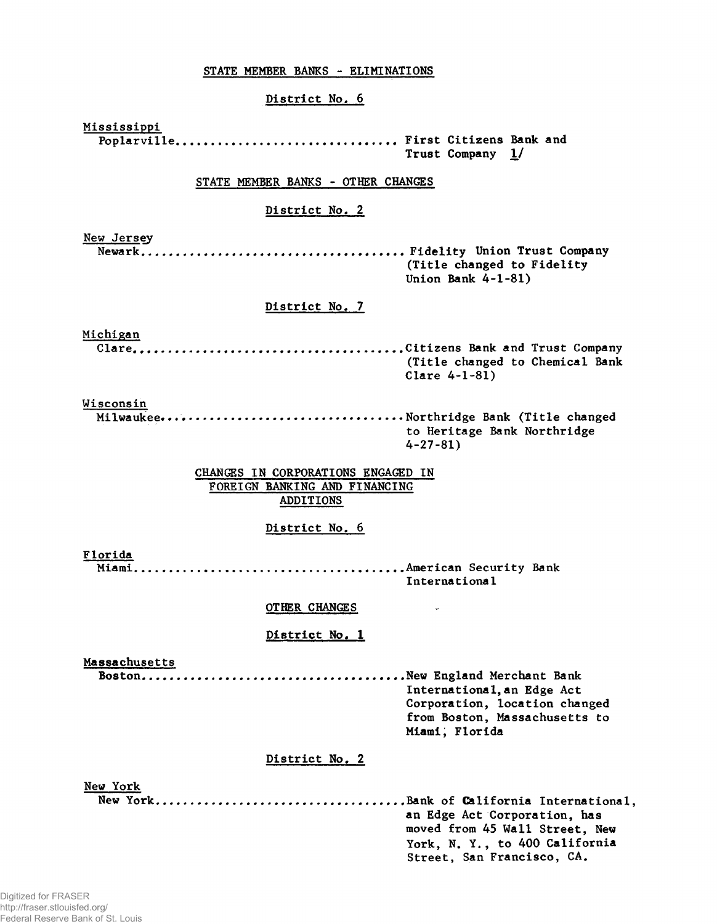# STATE MEMBER BANKS - ELIMINATIONS

## District No. 6

Mississippi Poplarville.............................. First Citizens Bank and Trust Company 1/ STATE MEMBER BANKS - OTHER CHANGES District No. 2 New Jersey N ew ark.. F i d e l i t y Union T ru st Company (Title changed to Fidelity Union Bank  $4-1-81$ District No. 7 Michigan C la r e . C it iz e n s Bank and T ru st Company (Title changed to Chemical Bank Clare 4-1-81) Wisconsin M ilw aukee . ..................................................... ..............N o rth rid g e Bank ( T i t l e changed to Heritage Bank Northridge  $4 - 27 - 81$ CHANGES IN CORPORATIONS ENGAGED IN FOREIGN BANKING AND FINANCING ADDITIONS District No. 6 Florida Miami A m erican S e c u r ity Bank International OTHER CHANGES  $\sim$ District No. 1 Massachusetts B o sto n .......... New England M erchant Bank International, an Edge Act Corporation, location changed from Boston, Massachusetts to Miami, Florida District No. 2 New York New Y o rk ................................. ..................................................Bank o f C a lifo r n ia I n t e r n a t io n a l, an Edge Act Corporation, has moved from 45 Wall Street, New York, N. Y., to 400 California Street, San Francisco, CA.